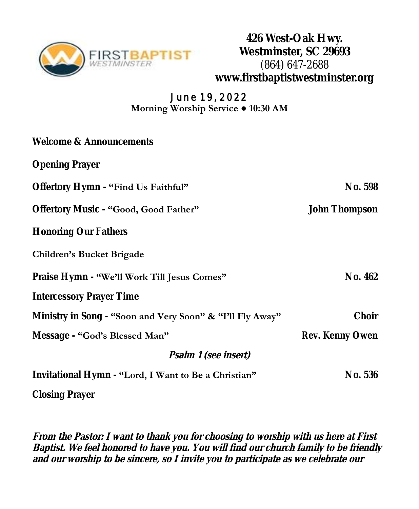

**426 West-Oak Hwy. Westminster, SC 29693** (864) 647-2688 **www.firstbaptistwestminster.org**

#### **June 19, 2022 Morning Worship Service ● 10:30 AM**

| Welcome & Announcements                                   |                 |  |
|-----------------------------------------------------------|-----------------|--|
| <b>Opening Prayer</b>                                     |                 |  |
| Offertory Hymn - "Find Us Faithful"                       | No. 598         |  |
| Offertory Music - "Good, Good Father"                     | John Thompson   |  |
| <b>Honoring Our Fathers</b>                               |                 |  |
| <b>Children's Bucket Brigade</b>                          |                 |  |
| Praise Hymn - "We'll Work Till Jesus Comes"               | No. 462         |  |
| Intercessory Prayer Time                                  |                 |  |
| Ministry in Song - "Soon and Very Soon" & "I'll Fly Away" | Choir           |  |
| Message - "God's Blessed Man"                             | Rev. Kenny Owen |  |
| Psalm 1 (see insert)                                      |                 |  |
| Invitational Hymn - "Lord, I Want to Be a Christian"      | No. 536         |  |
| Closing Prayer                                            |                 |  |

**From the Pastor: I want to thank you for choosing to worship with us here at First Baptist. We feel honored to have you. You will find our church family to be friendly and our worship to be sincere, so I invite you to participate as we celebrate our**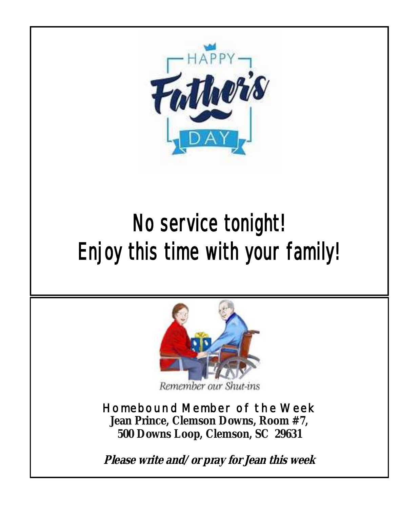

# No service tonight! Enjoy this time with your family!



Remember our Shut-ins

## **Homebound Member of the Week**

**Jean Prince, Clemson Downs, Room #7, 500 Downs Loop, Clemson, SC 29631**

**Please write and/or pray for Jean this week**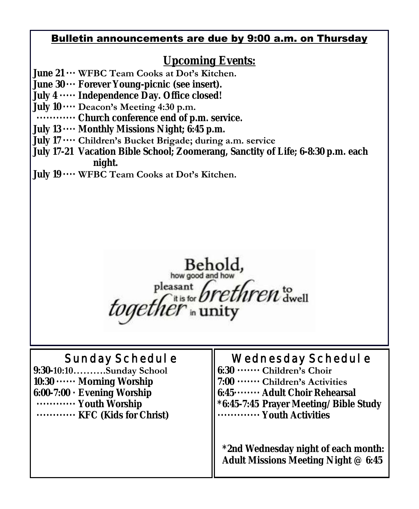#### Bulletin announcements are due by 9:00 a.m. on Thursday

## **Upcoming Events:**

- **June 21 ··· WFBC Team Cooks at Dot's Kitchen.**
- **June 30 ··· Forever Young-picnic (see insert).**
- **July 4 ····· Independence Day. Office closed!**
- **July 10 ···· Deacon's Meeting 4:30 p.m.**
- **············ Church conference end of p.m. service.**
- **July 13 ···· Monthly Missions Night; 6:45 p.m.**
- **July 17 ···· Children's Bucket Brigade; during a.m. service**
- **July 17-21 Vacation Bible School; Zoomerang, Sanctity of Life; 6-8:30 p.m. each night.**
- **July 19 ···· WFBC Team Cooks at Dot's Kitchen.**



## **Sunday Schedule**

- **9:30-10:10……….Sunday School 10:30 ······ Morning Worship 6:00-7:00 · Evening Worship ············ Youth Worship**
- **············ KFC (Kids for Christ)**

## **Wednesday Schedule**

**6:30 ······· Children's Choir 7:00 ······· Children's Activities 6:45········ Adult Choir Rehearsal \*6:45-7:45 Prayer Meeting/Bible Study ············· Youth Activities**

 **\*2nd Wednesday night of each month: Adult Missions Meeting Night @ 6:45**